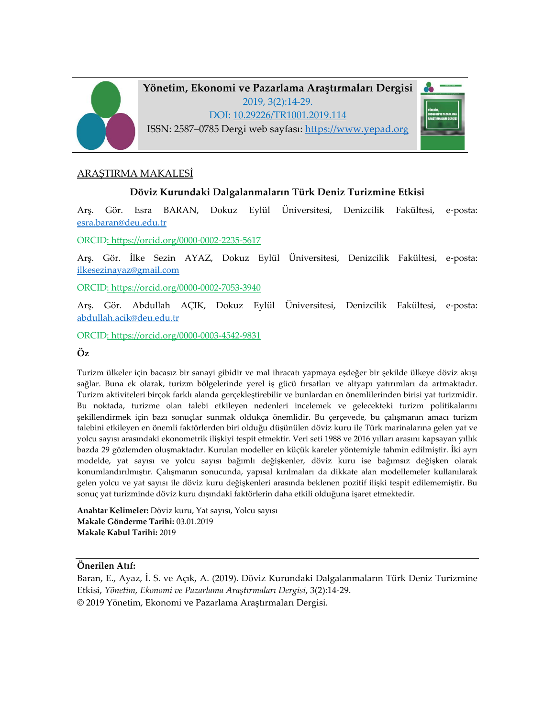

**Yönetim, Ekonomi ve Pazarlama Araştırmaları Dergisi** 2019, 3(2):14-29. DOI: 10.29226/TR1001.2019.114 ISSN: 2587–0785 Dergi web sayfası: [https://www.yepad.org](https://www.yepad.org/)



## ARAŞTIRMA MAKALESİ

# **Döviz Kurundaki Dalgalanmaların Türk Deniz Turizmine Etkisi**

Arş. Gör. Esra BARAN, Dokuz Eylül Üniversitesi, Denizcilik Fakültesi, e-posta: [esra.baran@deu.edu.tr](mailto:esra.baran@deu.edu.tr)

ORCID: https://orcid.org/0000[-0002-2235-5617](https://orcid.org/0000-0002-2235-5617)

Arş. Gör. İlke Sezin AYAZ, Dokuz Eylül Üniversitesi, Denizcilik Fakültesi, e-posta: [ilkesezinayaz@gmail.com](mailto:ilkesezinayaz@gmail.com)

ORCID: https://orcid.org/0000[-0002-7053-3940](https://orcid.org/0000-0002-7053-3940)

Arş. Gör. Abdullah AÇIK, Dokuz Eylül Üniversitesi, Denizcilik Fakültesi, e-posta: [abdullah.acik@deu.edu.tr](mailto:abdullah.acik@deu.edu.tr)

ORCID: https://orcid.org/0000[-0003-4542-9831](https://orcid.org/0000-0003-4542-9831)

### **Öz**

Turizm ülkeler için bacasız bir sanayi gibidir ve mal ihracatı yapmaya eşdeğer bir şekilde ülkeye döviz akışı sağlar. Buna ek olarak, turizm bölgelerinde yerel iş gücü fırsatları ve altyapı yatırımları da artmaktadır. Turizm aktiviteleri birçok farklı alanda gerçekleştirebilir ve bunlardan en önemlilerinden birisi yat turizmidir. Bu noktada, turizme olan talebi etkileyen nedenleri incelemek ve gelecekteki turizm politikalarını şekillendirmek için bazı sonuçlar sunmak oldukça önemlidir. Bu çerçevede, bu çalışmanın amacı turizm talebini etkileyen en önemli faktörlerden biri olduğu düşünülen döviz kuru ile Türk marinalarına gelen yat ve yolcu sayısı arasındaki ekonometrik ilişkiyi tespit etmektir. Veri seti 1988 ve 2016 yılları arasını kapsayan yıllık bazda 29 gözlemden oluşmaktadır. Kurulan modeller en küçük kareler yöntemiyle tahmin edilmiştir. İki ayrı modelde, yat sayısı ve yolcu sayısı bağımlı değişkenler, döviz kuru ise bağımsız değişken olarak konumlandırılmıştır. Çalışmanın sonucunda, yapısal kırılmaları da dikkate alan modellemeler kullanılarak gelen yolcu ve yat sayısı ile döviz kuru değişkenleri arasında beklenen pozitif ilişki tespit edilememiştir. Bu sonuç yat turizminde döviz kuru dışındaki faktörlerin daha etkili olduğuna işaret etmektedir.

**Anahtar Kelimeler:** Döviz kuru, Yat sayısı, Yolcu sayısı **Makale Gönderme Tarihi:** 03.01.2019 **Makale Kabul Tarihi:** 2019

**Önerilen Atıf:** 

Baran, E., Ayaz, İ. S. ve Açık, A. (2019). Döviz Kurundaki Dalgalanmaların Türk Deniz Turizmine Etkisi, *Yönetim, Ekonomi ve Pazarlama Araştırmaları Dergisi*, 3(2):14-29. © 2019 Yönetim, Ekonomi ve Pazarlama Araştırmaları Dergisi.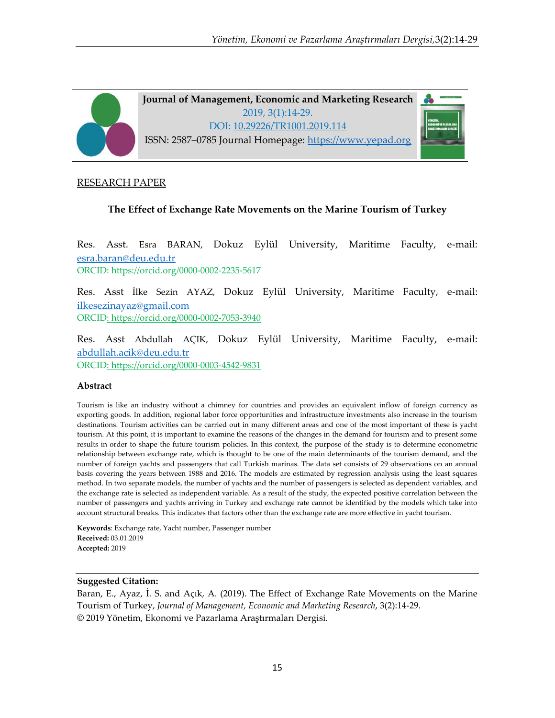

# RESEARCH PAPER

## **The Effect of Exchange Rate Movements on the Marine Tourism of Turkey**

Res. Asst. Esra BARAN, Dokuz Eylül University, Maritime Faculty, e-mail: [esra.baran@deu.edu.tr](mailto:esra.baran@deu.edu.tr) ORCID: https://orcid.org/0000[-0002-2235-5617](https://orcid.org/0000-0002-2235-5617)

Res. Asst İlke Sezin AYAZ, Dokuz Eylül University, Maritime Faculty, e-mail: [ilkesezinayaz@gmail.com](mailto:ilkesezinayaz@gmail.com) ORCID: https://orcid.org/0000[-0002-7053-3940](https://orcid.org/0000-0002-7053-3940)

Res. Asst Abdullah AÇIK, Dokuz Eylül University, Maritime Faculty, e-mail: [abdullah.acik@deu.edu.tr](mailto:abdullah.acik@deu.edu.tr) ORCID: https://orcid.org/0000[-0003-4542-9831](https://orcid.org/0000-0003-4542-9831)

#### **Abstract**

Tourism is like an industry without a chimney for countries and provides an equivalent inflow of foreign currency as exporting goods. In addition, regional labor force opportunities and infrastructure investments also increase in the tourism destinations. Tourism activities can be carried out in many different areas and one of the most important of these is yacht tourism. At this point, it is important to examine the reasons of the changes in the demand for tourism and to present some results in order to shape the future tourism policies. In this context, the purpose of the study is to determine econometric relationship between exchange rate, which is thought to be one of the main determinants of the tourism demand, and the number of foreign yachts and passengers that call Turkish marinas. The data set consists of 29 observations on an annual basis covering the years between 1988 and 2016. The models are estimated by regression analysis using the least squares method. In two separate models, the number of yachts and the number of passengers is selected as dependent variables, and the exchange rate is selected as independent variable. As a result of the study, the expected positive correlation between the number of passengers and yachts arriving in Turkey and exchange rate cannot be identified by the models which take into account structural breaks. This indicates that factors other than the exchange rate are more effective in yacht tourism.

**Keywords**: Exchange rate, Yacht number, Passenger number **Received:** 03.01.2019 **Accepted:** 2019

#### **Suggested Citation:**

Baran, E., Ayaz, İ. S. and Açık, A. (2019). The Effect of Exchange Rate Movements on the Marine Tourism of Turkey, *Journal of Management, Economic and Marketing Research*, 3(2):14-29. © 2019 Yönetim, Ekonomi ve Pazarlama Araştırmaları Dergisi.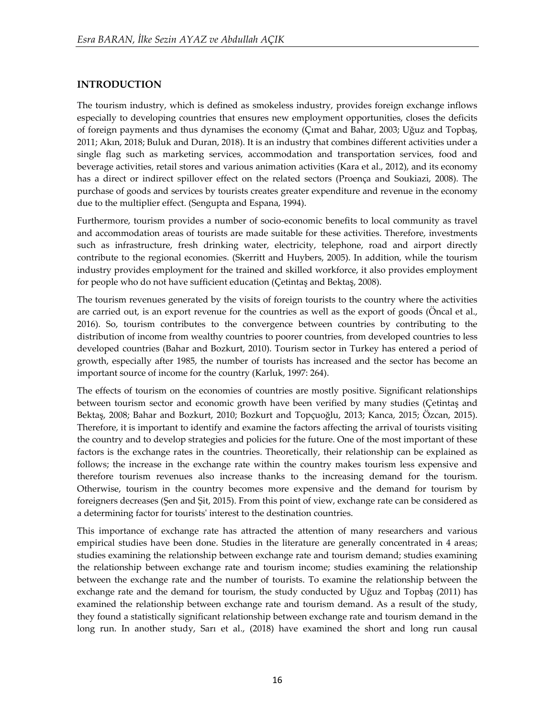# **INTRODUCTION**

The tourism industry, which is defined as smokeless industry, provides foreign exchange inflows especially to developing countries that ensures new employment opportunities, closes the deficits of foreign payments and thus dynamises the economy (Çımat and Bahar, 2003; Uğuz and Topbaş, 2011; Akın, 2018; Buluk and Duran, 2018). It is an industry that combines different activities under a single flag such as marketing services, accommodation and transportation services, food and beverage activities, retail stores and various animation activities (Kara et al., 2012), and its economy has a direct or indirect spillover effect on the related sectors (Proença and Soukiazi, 2008). The purchase of goods and services by tourists creates greater expenditure and revenue in the economy due to the multiplier effect. (Sengupta and Espana, 1994).

Furthermore, tourism provides a number of socio-economic benefits to local community as travel and accommodation areas of tourists are made suitable for these activities. Therefore, investments such as infrastructure, fresh drinking water, electricity, telephone, road and airport directly contribute to the regional economies. (Skerritt and Huybers, 2005). In addition, while the tourism industry provides employment for the trained and skilled workforce, it also provides employment for people who do not have sufficient education (Çetintaş and Bektaş, 2008).

The tourism revenues generated by the visits of foreign tourists to the country where the activities are carried out, is an export revenue for the countries as well as the export of goods (Öncal et al., 2016). So, tourism contributes to the convergence between countries by contributing to the distribution of income from wealthy countries to poorer countries, from developed countries to less developed countries (Bahar and Bozkurt, 2010). Tourism sector in Turkey has entered a period of growth, especially after 1985, the number of tourists has increased and the sector has become an important source of income for the country (Karluk, 1997: 264).

The effects of tourism on the economies of countries are mostly positive. Significant relationships between tourism sector and economic growth have been verified by many studies (Çetintaş and Bektaş, 2008; Bahar and Bozkurt, 2010; Bozkurt and Topçuoğlu, 2013; Kanca, 2015; Özcan, 2015). Therefore, it is important to identify and examine the factors affecting the arrival of tourists visiting the country and to develop strategies and policies for the future. One of the most important of these factors is the exchange rates in the countries. Theoretically, their relationship can be explained as follows; the increase in the exchange rate within the country makes tourism less expensive and therefore tourism revenues also increase thanks to the increasing demand for the tourism. Otherwise, tourism in the country becomes more expensive and the demand for tourism by foreigners decreases (Şen and Şit, 2015). From this point of view, exchange rate can be considered as a determining factor for tourists' interest to the destination countries.

This importance of exchange rate has attracted the attention of many researchers and various empirical studies have been done. Studies in the literature are generally concentrated in 4 areas; studies examining the relationship between exchange rate and tourism demand; studies examining the relationship between exchange rate and tourism income; studies examining the relationship between the exchange rate and the number of tourists. To examine the relationship between the exchange rate and the demand for tourism, the study conducted by Uğuz and Topbaş (2011) has examined the relationship between exchange rate and tourism demand. As a result of the study, they found a statistically significant relationship between exchange rate and tourism demand in the long run. In another study, Sarı et al., (2018) have examined the short and long run causal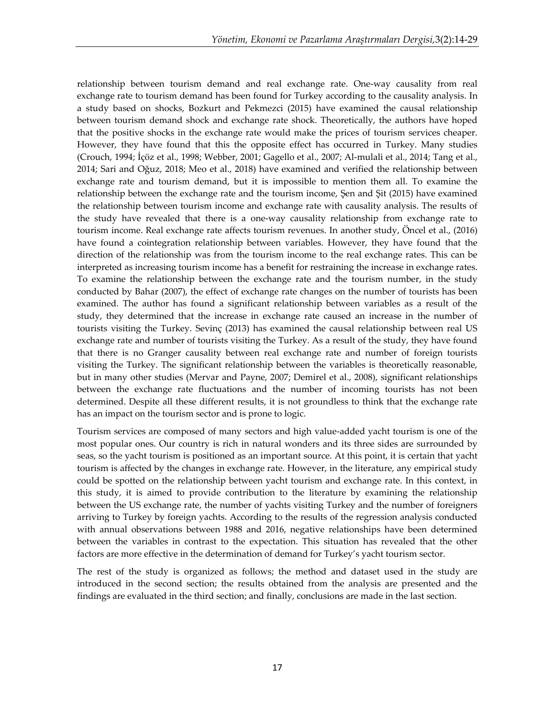relationship between tourism demand and real exchange rate. One-way causality from real exchange rate to tourism demand has been found for Turkey according to the causality analysis. In a study based on shocks, Bozkurt and Pekmezci (2015) have examined the causal relationship between tourism demand shock and exchange rate shock. Theoretically, the authors have hoped that the positive shocks in the exchange rate would make the prices of tourism services cheaper. However, they have found that this the opposite effect has occurred in Turkey. Many studies (Crouch, 1994; İçöz et al., 1998; Webber, 2001; Gagello et al., 2007; Al-mulali et al., 2014; Tang et al., 2014; Sari and Oğuz, 2018; Meo et al., 2018) have examined and verified the relationship between exchange rate and tourism demand, but it is impossible to mention them all. To examine the relationship between the exchange rate and the tourism income, Şen and Şit (2015) have examined the relationship between tourism income and exchange rate with causality analysis. The results of the study have revealed that there is a one-way causality relationship from exchange rate to tourism income. Real exchange rate affects tourism revenues. In another study, Öncel et al., (2016) have found a cointegration relationship between variables. However, they have found that the direction of the relationship was from the tourism income to the real exchange rates. This can be interpreted as increasing tourism income has a benefit for restraining the increase in exchange rates. To examine the relationship between the exchange rate and the tourism number, in the study conducted by Bahar (2007), the effect of exchange rate changes on the number of tourists has been examined. The author has found a significant relationship between variables as a result of the study, they determined that the increase in exchange rate caused an increase in the number of tourists visiting the Turkey. Sevinç (2013) has examined the causal relationship between real US exchange rate and number of tourists visiting the Turkey. As a result of the study, they have found that there is no Granger causality between real exchange rate and number of foreign tourists visiting the Turkey. The significant relationship between the variables is theoretically reasonable, but in many other studies (Mervar and Payne, 2007; Demirel et al., 2008), significant relationships between the exchange rate fluctuations and the number of incoming tourists has not been determined. Despite all these different results, it is not groundless to think that the exchange rate has an impact on the tourism sector and is prone to logic.

Tourism services are composed of many sectors and high value-added yacht tourism is one of the most popular ones. Our country is rich in natural wonders and its three sides are surrounded by seas, so the yacht tourism is positioned as an important source. At this point, it is certain that yacht tourism is affected by the changes in exchange rate. However, in the literature, any empirical study could be spotted on the relationship between yacht tourism and exchange rate. In this context, in this study, it is aimed to provide contribution to the literature by examining the relationship between the US exchange rate, the number of yachts visiting Turkey and the number of foreigners arriving to Turkey by foreign yachts. According to the results of the regression analysis conducted with annual observations between 1988 and 2016, negative relationships have been determined between the variables in contrast to the expectation. This situation has revealed that the other factors are more effective in the determination of demand for Turkey's yacht tourism sector.

The rest of the study is organized as follows; the method and dataset used in the study are introduced in the second section; the results obtained from the analysis are presented and the findings are evaluated in the third section; and finally, conclusions are made in the last section.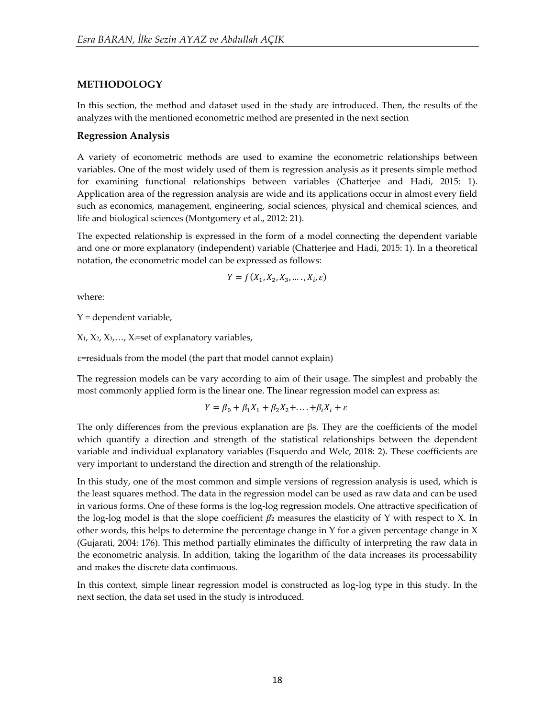## **METHODOLOGY**

In this section, the method and dataset used in the study are introduced. Then, the results of the analyzes with the mentioned econometric method are presented in the next section

## **Regression Analysis**

A variety of econometric methods are used to examine the econometric relationships between variables. One of the most widely used of them is regression analysis as it presents simple method for examining functional relationships between variables (Chatterjee and Hadi, 2015: 1). Application area of the regression analysis are wide and its applications occur in almost every field such as economics, management, engineering, social sciences, physical and chemical sciences, and life and biological sciences (Montgomery et al., 2012: 21).

The expected relationship is expressed in the form of a model connecting the dependent variable and one or more explanatory (independent) variable (Chatterjee and Hadi, 2015: 1). In a theoretical notation, the econometric model can be expressed as follows:

$$
Y = f(X_1, X_2, X_3, \dots, X_i, \varepsilon)
$$

where:

 $Y =$  dependent variable,

X1, X2, X3,…, Xi=set of explanatory variables,

ε=residuals from the model (the part that model cannot explain)

The regression models can be vary according to aim of their usage. The simplest and probably the most commonly applied form is the linear one. The linear regression model can express as:

$$
Y = \beta_0 + \beta_1 X_1 + \beta_2 X_2 + \dots + \beta_i X_i + \varepsilon
$$

The only differences from the previous explanation are βs. They are the coefficients of the model which quantify a direction and strength of the statistical relationships between the dependent variable and individual explanatory variables (Esquerdo and Welc, 2018: 2). These coefficients are very important to understand the direction and strength of the relationship.

In this study, one of the most common and simple versions of regression analysis is used, which is the least squares method. The data in the regression model can be used as raw data and can be used in various forms. One of these forms is the log-log regression models. One attractive specification of the log-log model is that the slope coefficient  $\beta$  measures the elasticity of Y with respect to X. In other words, this helps to determine the percentage change in Y for a given percentage change in X (Gujarati, 2004: 176). This method partially eliminates the difficulty of interpreting the raw data in the econometric analysis. In addition, taking the logarithm of the data increases its processability and makes the discrete data continuous.

In this context, simple linear regression model is constructed as log-log type in this study. In the next section, the data set used in the study is introduced.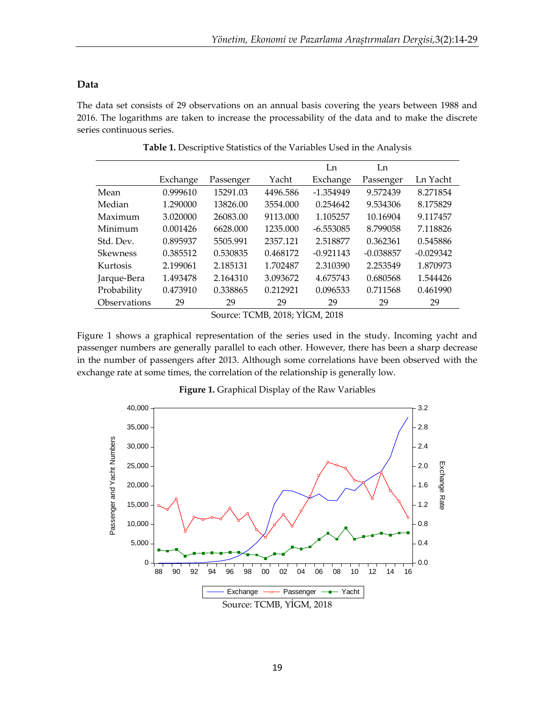## **Data**

The data set consists of 29 observations on an annual basis covering the years between 1988 and 2016. The logarithms are taken to increase the processability of the data and to make the discrete series continuous series.

|                 |          |           |          | Ln          | Ln          |             |
|-----------------|----------|-----------|----------|-------------|-------------|-------------|
|                 | Exchange | Passenger | Yacht    | Exchange    | Passenger   | Ln Yacht    |
| Mean            | 0.999610 | 15291.03  | 4496.586 | $-1.354949$ | 9.572439    | 8.271854    |
| Median          | 1.290000 | 13826.00  | 3554.000 | 0.254642    | 9.534306    | 8.175829    |
| Maximum         | 3.020000 | 26083.00  | 9113.000 | 1.105257    | 10.16904    | 9.117457    |
| Minimum         | 0.001426 | 6628,000  | 1235.000 | $-6.553085$ | 8.799058    | 7.118826    |
| Std. Dev.       | 0.895937 | 5505.991  | 2357.121 | 2.518877    | 0.362361    | 0.545886    |
| <b>Skewness</b> | 0.385512 | 0.530835  | 0.468172 | $-0.921143$ | $-0.038857$ | $-0.029342$ |
| Kurtosis        | 2.199061 | 2.185131  | 1.702487 | 2.310390    | 2.253549    | 1.870973    |
| Jarque-Bera     | 1.493478 | 2.164310  | 3.093672 | 4.675743    | 0.680568    | 1.544426    |
| Probability     | 0.473910 | 0.338865  | 0.212921 | 0.096533    | 0.711568    | 0.461990    |
| Observations    | 29       | 29        | 29       | 29          | 29          | 29          |

**Table 1.** Descriptive Statistics of the Variables Used in the Analysis

Source: TCMB, 2018; YİGM, 2018

Figure 1 shows a graphical representation of the series used in the study. Incoming yacht and passenger numbers are generally parallel to each other. However, there has been a sharp decrease in the number of passengers after 2013. Although some correlations have been observed with the exchange rate at some times, the correlation of the relationship is generally low.



**Figure 1.** Graphical Display of the Raw Variables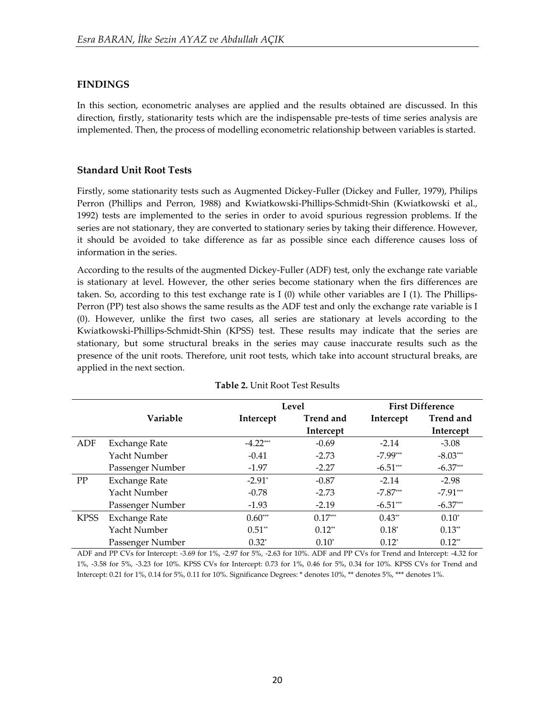# **FINDINGS**

In this section, econometric analyses are applied and the results obtained are discussed. In this direction, firstly, stationarity tests which are the indispensable pre-tests of time series analysis are implemented. Then, the process of modelling econometric relationship between variables is started.

## **Standard Unit Root Tests**

Firstly, some stationarity tests such as Augmented Dickey-Fuller (Dickey and Fuller, 1979), Philips Perron (Phillips and Perron, 1988) and Kwiatkowski-Phillips-Schmidt-Shin (Kwiatkowski et al., 1992) tests are implemented to the series in order to avoid spurious regression problems. If the series are not stationary, they are converted to stationary series by taking their difference. However, it should be avoided to take difference as far as possible since each difference causes loss of information in the series.

According to the results of the augmented Dickey-Fuller (ADF) test, only the exchange rate variable is stationary at level. However, the other series become stationary when the firs differences are taken. So, according to this test exchange rate is I (0) while other variables are I (1). The Phillips-Perron (PP) test also shows the same results as the ADF test and only the exchange rate variable is I (0). However, unlike the first two cases, all series are stationary at levels according to the Kwiatkowski-Phillips-Schmidt-Shin (KPSS) test. These results may indicate that the series are stationary, but some structural breaks in the series may cause inaccurate results such as the presence of the unit roots. Therefore, unit root tests, which take into account structural breaks, are applied in the next section.

|             |                      |                      | Level            |            | <b>First Difference</b> |
|-------------|----------------------|----------------------|------------------|------------|-------------------------|
|             | <b>Variable</b>      | Intercept            | <b>Trend and</b> | Intercept  | <b>Trend and</b>        |
|             |                      |                      | Intercept        |            | Intercept               |
| ADF         | Exchange Rate        | $-4.22***$           | $-0.69$          | $-2.14$    | $-3.08$                 |
|             | Yacht Number         | $-0.41$              | $-2.73$          | $-7.99***$ | $-8.03***$              |
|             | Passenger Number     | $-1.97$              | $-2.27$          | $-6.51***$ | $-6.37***$              |
| PP          | Exchange Rate        | $-2.91$ <sup>*</sup> | $-0.87$          | $-2.14$    | $-2.98$                 |
|             | Yacht Number         | $-0.78$              | $-2.73$          | $-7.87***$ | $-7.91***$              |
|             | Passenger Number     | $-1.93$              | $-2.19$          | $-6.51***$ | $-6.37***$              |
| <b>KPSS</b> | <b>Exchange Rate</b> | $0.60***$            | $0.17***$        | $0.43**$   | $0.10*$                 |
|             | Yacht Number         | $0.51**$             | $0.12**$         | $0.18^*$   | $0.13**$                |
|             | Passenger Number     | $0.32^*$             | $0.10^*$         | $0.12*$    | $0.12**$                |

|  | <b>Table 2. Unit Root Test Results</b> |
|--|----------------------------------------|
|--|----------------------------------------|

ADF and PP CVs for Intercept: -3.69 for 1%, -2.97 for 5%, -2.63 for 10%. ADF and PP CVs for Trend and Intercept: -4.32 for 1%, -3.58 for 5%, -3.23 for 10%. KPSS CVs for Intercept: 0.73 for 1%, 0.46 for 5%, 0.34 for 10%. KPSS CVs for Trend and Intercept: 0.21 for 1%, 0.14 for 5%, 0.11 for 10%. Significance Degrees: \* denotes 10%, \*\* denotes 5%, \*\*\* denotes 1%.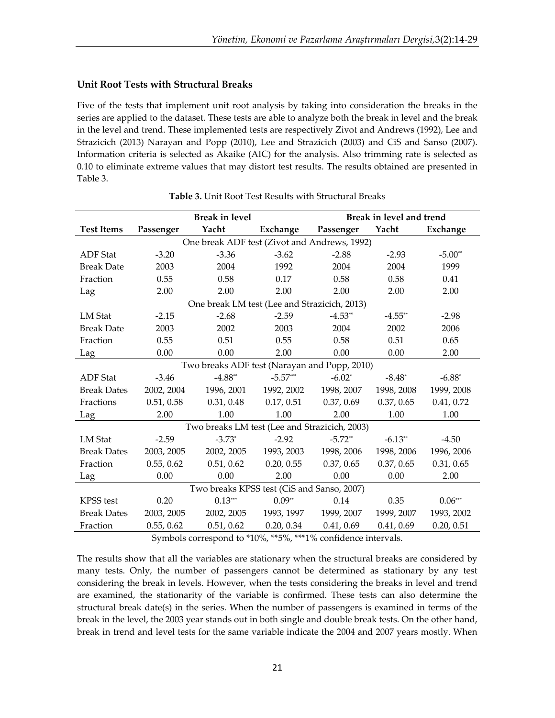# **Unit Root Tests with Structural Breaks**

Five of the tests that implement unit root analysis by taking into consideration the breaks in the series are applied to the dataset. These tests are able to analyze both the break in level and the break in the level and trend. These implemented tests are respectively Zivot and Andrews (1992), Lee and Strazicich (2013) Narayan and Popp (2010), Lee and Strazicich (2003) and CiS and Sanso (2007). Information criteria is selected as Akaike (AIC) for the analysis. Also trimming rate is selected as 0.10 to eliminate extreme values that may distort test results. The results obtained are presented in Table 3.

|                    | <b>Break in level</b> |                                               |            | Break in level and trend |            |            |
|--------------------|-----------------------|-----------------------------------------------|------------|--------------------------|------------|------------|
| <b>Test Items</b>  | Passenger             | Yacht                                         | Exchange   | Passenger                | Yacht      | Exchange   |
|                    |                       | One break ADF test (Zivot and Andrews, 1992)  |            |                          |            |            |
| <b>ADF</b> Stat    | $-3.20$               | $-3.36$                                       | $-3.62$    | $-2.88$                  | $-2.93$    | $-5.00**$  |
| <b>Break Date</b>  | 2003                  | 2004                                          | 1992       | 2004                     | 2004       | 1999       |
| Fraction           | 0.55                  | 0.58                                          | 0.17       | 0.58                     | 0.58       | 0.41       |
| Lag                | 2.00                  | 2.00                                          | 2.00       | 2.00                     | 2.00       | 2.00       |
|                    |                       | One break LM test (Lee and Strazicich, 2013)  |            |                          |            |            |
| LM Stat            | $-2.15$               | $-2.68$                                       | $-2.59$    | $-4.53**$                | $-4.55**$  | $-2.98$    |
| <b>Break Date</b>  | 2003                  | 2002                                          | 2003       | 2004                     | 2002       | 2006       |
| Fraction           | 0.55                  | 0.51                                          | 0.55       | 0.58                     | 0.51       | 0.65       |
| Lag                | 0.00                  | 0.00                                          | 2.00       | 0.00                     | 0.00       | 2.00       |
|                    |                       | Two breaks ADF test (Narayan and Popp, 2010)  |            |                          |            |            |
| <b>ADF</b> Stat    | $-3.46$               | $-4.88**$                                     | $-5.57***$ | $-6.02^*$                | $-8.48^*$  | $-6.88*$   |
| <b>Break Dates</b> | 2002, 2004            | 1996, 2001                                    | 1992, 2002 | 1998, 2007               | 1998, 2008 | 1999, 2008 |
| Fractions          | 0.51, 0.58            | 0.31, 0.48                                    | 0.17, 0.51 | 0.37, 0.69               | 0.37, 0.65 | 0.41, 0.72 |
| Lag                | 2.00                  | 1.00                                          | 1.00       | 2.00                     | 1.00       | 1.00       |
|                    |                       | Two breaks LM test (Lee and Strazicich, 2003) |            |                          |            |            |
| LM Stat            | $-2.59$               | $-3.73*$                                      | $-2.92$    | $-5.72**$                | $-6.13**$  | $-4.50$    |
| <b>Break Dates</b> | 2003, 2005            | 2002, 2005                                    | 1993, 2003 | 1998, 2006               | 1998, 2006 | 1996, 2006 |
| Fraction           | 0.55, 0.62            | 0.51, 0.62                                    | 0.20, 0.55 | 0.37, 0.65               | 0.37, 0.65 | 0.31, 0.65 |
| Lag                | 0.00                  | 0.00                                          | 2.00       | 0.00                     | 0.00       | 2.00       |
|                    |                       | Two breaks KPSS test (CiS and Sanso, 2007)    |            |                          |            |            |
| <b>KPSS</b> test   | 0.20                  | $0.13***$                                     | $0.09**$   | 0.14                     | 0.35       | $0.06***$  |
| <b>Break Dates</b> | 2003, 2005            | 2002, 2005                                    | 1993, 1997 | 1999, 2007               | 1999, 2007 | 1993, 2002 |
| Fraction           | 0.55, 0.62            | 0.51, 0.62                                    | 0.20, 0.34 | 0.41, 0.69               | 0.41, 0.69 | 0.20, 0.51 |

|  | <b>Table 3.</b> Unit Root Test Results with Structural Breaks |  |
|--|---------------------------------------------------------------|--|
|  |                                                               |  |

Symbols correspond to \*10%, \*\*5%, \*\*\*1% confidence intervals.

The results show that all the variables are stationary when the structural breaks are considered by many tests. Only, the number of passengers cannot be determined as stationary by any test considering the break in levels. However, when the tests considering the breaks in level and trend are examined, the stationarity of the variable is confirmed. These tests can also determine the structural break date(s) in the series. When the number of passengers is examined in terms of the break in the level, the 2003 year stands out in both single and double break tests. On the other hand, break in trend and level tests for the same variable indicate the 2004 and 2007 years mostly. When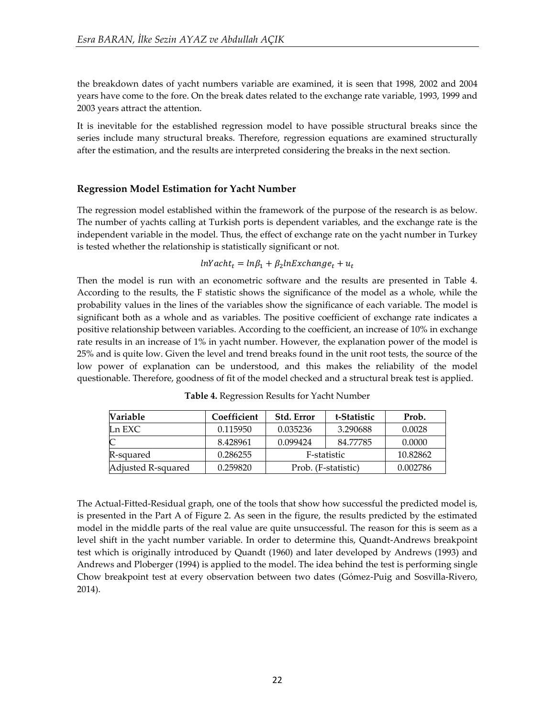the breakdown dates of yacht numbers variable are examined, it is seen that 1998, 2002 and 2004 years have come to the fore. On the break dates related to the exchange rate variable, 1993, 1999 and 2003 years attract the attention.

It is inevitable for the established regression model to have possible structural breaks since the series include many structural breaks. Therefore, regression equations are examined structurally after the estimation, and the results are interpreted considering the breaks in the next section.

### **Regression Model Estimation for Yacht Number**

The regression model established within the framework of the purpose of the research is as below. The number of yachts calling at Turkish ports is dependent variables, and the exchange rate is the independent variable in the model. Thus, the effect of exchange rate on the yacht number in Turkey is tested whether the relationship is statistically significant or not.

#### $lnYacht_t = ln\beta_1 + \beta_2 l$

Then the model is run with an econometric software and the results are presented in Table 4. According to the results, the F statistic shows the significance of the model as a whole, while the probability values in the lines of the variables show the significance of each variable. The model is significant both as a whole and as variables. The positive coefficient of exchange rate indicates a positive relationship between variables. According to the coefficient, an increase of 10% in exchange rate results in an increase of 1% in yacht number. However, the explanation power of the model is 25% and is quite low. Given the level and trend breaks found in the unit root tests, the source of the low power of explanation can be understood, and this makes the reliability of the model questionable. Therefore, goodness of fit of the model checked and a structural break test is applied.

| <b>Variable</b>    | Coefficient | <b>Std. Error</b>   | t-Statistic | Prob.    |
|--------------------|-------------|---------------------|-------------|----------|
| $Ln$ EXC           | 0.115950    | 0.035236            | 3.290688    | 0.0028   |
| $\mathsf{C}$       | 8.428961    | 0.099424            | 84.77785    | 0.0000   |
| R-squared          | 0.286255    |                     | F-statistic | 10.82862 |
| Adjusted R-squared | 0.259820    | Prob. (F-statistic) |             | 0.002786 |

**Table 4.** Regression Results for Yacht Number

The Actual-Fitted-Residual graph, one of the tools that show how successful the predicted model is, is presented in the Part A of Figure 2. As seen in the figure, the results predicted by the estimated model in the middle parts of the real value are quite unsuccessful. The reason for this is seem as a level shift in the yacht number variable. In order to determine this, Quandt-Andrews breakpoint test which is originally introduced by Quandt (1960) and later developed by Andrews (1993) and Andrews and Ploberger (1994) is applied to the model. The idea behind the test is performing single Chow breakpoint test at every observation between two dates (Gómez-Puig and Sosvilla-Rivero, 2014).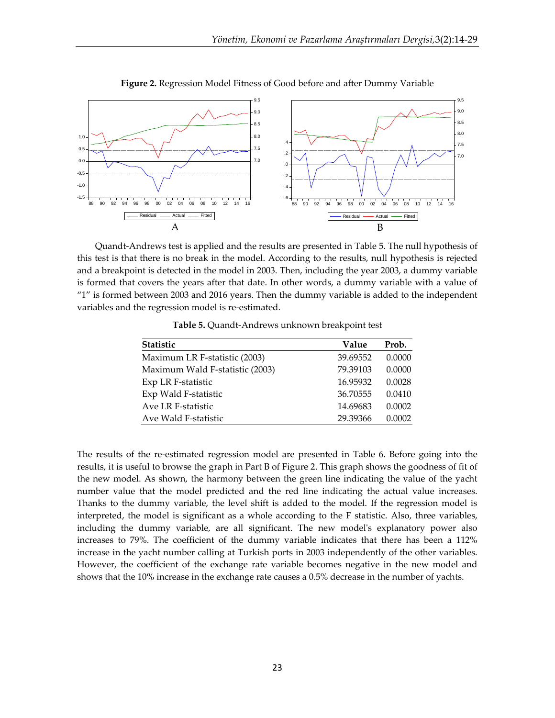

**Figure 2.** Regression Model Fitness of Good before and after Dummy Variable

Quandt-Andrews test is applied and the results are presented in Table 5. The null hypothesis of this test is that there is no break in the model. According to the results, null hypothesis is rejected and a breakpoint is detected in the model in 2003. Then, including the year 2003, a dummy variable is formed that covers the years after that date. In other words, a dummy variable with a value of "1" is formed between 2003 and 2016 years. Then the dummy variable is added to the independent variables and the regression model is re-estimated.

| <b>Statistic</b>                | Value    | Prob.  |
|---------------------------------|----------|--------|
| Maximum LR F-statistic (2003)   | 39.69552 | 0.0000 |
| Maximum Wald F-statistic (2003) | 79.39103 | 0.0000 |
| Exp LR F-statistic              | 16.95932 | 0.0028 |
| Exp Wald F-statistic            | 36.70555 | 0.0410 |
| Ave LR F-statistic              | 14.69683 | 0.0002 |
| Ave Wald F-statistic            | 29.39366 | 0.0002 |

**Table 5.** Quandt-Andrews unknown breakpoint test

The results of the re-estimated regression model are presented in Table 6. Before going into the results, it is useful to browse the graph in Part B of Figure 2. This graph shows the goodness of fit of the new model. As shown, the harmony between the green line indicating the value of the yacht number value that the model predicted and the red line indicating the actual value increases. Thanks to the dummy variable, the level shift is added to the model. If the regression model is interpreted, the model is significant as a whole according to the F statistic. Also, three variables, including the dummy variable, are all significant. The new model's explanatory power also increases to 79%. The coefficient of the dummy variable indicates that there has been a 112% increase in the yacht number calling at Turkish ports in 2003 independently of the other variables. However, the coefficient of the exchange rate variable becomes negative in the new model and shows that the 10% increase in the exchange rate causes a 0.5% decrease in the number of yachts.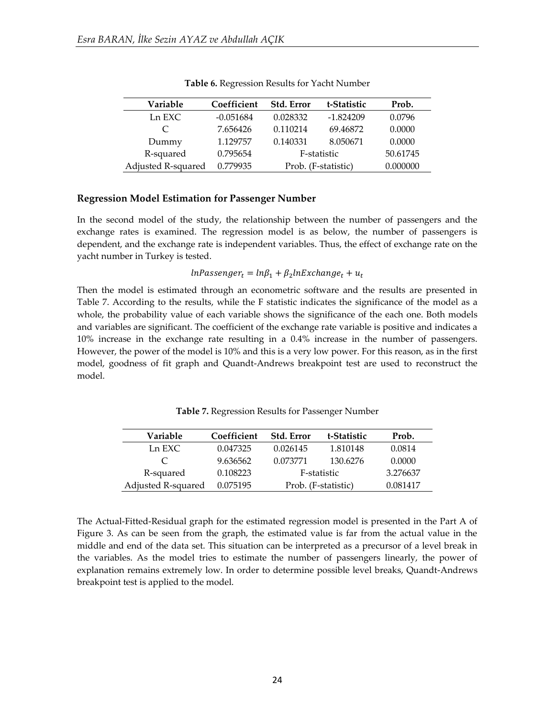| Variable           | Coefficient | Std. Error | t-Statistic         | Prob.    |
|--------------------|-------------|------------|---------------------|----------|
| Ln EXC             | $-0.051684$ | 0.028332   | $-1.824209$         | 0.0796   |
| $\subset$          | 7.656426    | 0.110214   | 69.46872            | 0.0000   |
| Dummy              | 1.129757    | 0.140331   | 8.050671            | 0.0000   |
| R-squared          | 0.795654    |            | F-statistic         | 50.61745 |
| Adjusted R-squared | 0.779935    |            | Prob. (F-statistic) | 0.000000 |

**Table 6.** Regression Results for Yacht Number

#### **Regression Model Estimation for Passenger Number**

In the second model of the study, the relationship between the number of passengers and the exchange rates is examined. The regression model is as below, the number of passengers is dependent, and the exchange rate is independent variables. Thus, the effect of exchange rate on the yacht number in Turkey is tested.

 $lnPassenger_t = lnβ_1 + β_2l$ 

Then the model is estimated through an econometric software and the results are presented in Table 7. According to the results, while the F statistic indicates the significance of the model as a whole, the probability value of each variable shows the significance of the each one. Both models and variables are significant. The coefficient of the exchange rate variable is positive and indicates a 10% increase in the exchange rate resulting in a 0.4% increase in the number of passengers. However, the power of the model is 10% and this is a very low power. For this reason, as in the first model, goodness of fit graph and Quandt-Andrews breakpoint test are used to reconstruct the model.

**Table 7.** Regression Results for Passenger Number

| Variable           | Coefficient | <b>Std. Error</b>   | t-Statistic | Prob.    |
|--------------------|-------------|---------------------|-------------|----------|
| Ln EXC             | 0.047325    | 0.026145            | 1.810148    | 0.0814   |
|                    | 9.636562    | 0.073771            | 130.6276    | 0.0000   |
| R-squared          | 0.108223    |                     | F-statistic | 3.276637 |
| Adjusted R-squared | 0.075195    | Prob. (F-statistic) |             | 0.081417 |

The Actual-Fitted-Residual graph for the estimated regression model is presented in the Part A of Figure 3. As can be seen from the graph, the estimated value is far from the actual value in the middle and end of the data set. This situation can be interpreted as a precursor of a level break in the variables. As the model tries to estimate the number of passengers linearly, the power of explanation remains extremely low. In order to determine possible level breaks, Quandt-Andrews breakpoint test is applied to the model.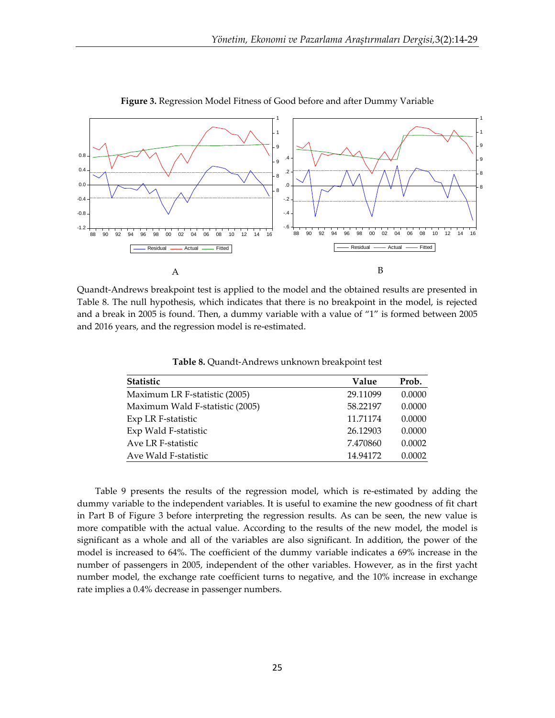

**Figure 3.** Regression Model Fitness of Good before and after Dummy Variable

Quandt-Andrews breakpoint test is applied to the model and the obtained results are presented in Table 8. The null hypothesis, which indicates that there is no breakpoint in the model, is rejected and a break in 2005 is found. Then, a dummy variable with a value of "1" is formed between 2005 and 2016 years, and the regression model is re-estimated.

**Table 8.** Quandt-Andrews unknown breakpoint test

| Statistic                       | Value    | Prob.  |
|---------------------------------|----------|--------|
| Maximum LR F-statistic (2005)   | 29.11099 | 0.0000 |
| Maximum Wald F-statistic (2005) | 58.22197 | 0.0000 |
| Exp LR F-statistic              | 11.71174 | 0.0000 |
| Exp Wald F-statistic            | 26.12903 | 0.0000 |
| Ave LR F-statistic              | 7.470860 | 0.0002 |
| Ave Wald F-statistic            | 14.94172 | 0.0002 |

Table 9 presents the results of the regression model, which is re-estimated by adding the dummy variable to the independent variables. It is useful to examine the new goodness of fit chart in Part B of Figure 3 before interpreting the regression results. As can be seen, the new value is more compatible with the actual value. According to the results of the new model, the model is significant as a whole and all of the variables are also significant. In addition, the power of the model is increased to 64%. The coefficient of the dummy variable indicates a 69% increase in the number of passengers in 2005, independent of the other variables. However, as in the first yacht number model, the exchange rate coefficient turns to negative, and the 10% increase in exchange rate implies a 0.4% decrease in passenger numbers.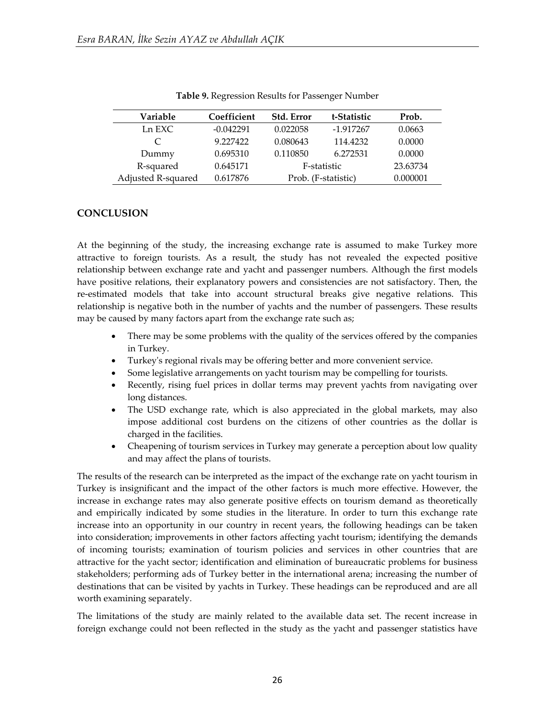| Variable                    | Coefficient | Std. Error          | t-Statistic | Prob.    |
|-----------------------------|-------------|---------------------|-------------|----------|
| Ln EXC                      | $-0.042291$ | 0.022058            | -1.917267   | 0.0663   |
| $\mathcal{C}_{\mathcal{C}}$ | 9.227422    | 0.080643            | 114.4232    | 0.0000   |
| Dummy                       | 0.695310    | 0.110850            | 6.272531    | 0.0000   |
| R-squared                   | 0.645171    |                     | F-statistic | 23.63734 |
| Adjusted R-squared          | 0.617876    | Prob. (F-statistic) |             | 0.000001 |

|  | Table 9. Regression Results for Passenger Number |  |
|--|--------------------------------------------------|--|
|  |                                                  |  |

### **CONCLUSION**

At the beginning of the study, the increasing exchange rate is assumed to make Turkey more attractive to foreign tourists. As a result, the study has not revealed the expected positive relationship between exchange rate and yacht and passenger numbers. Although the first models have positive relations, their explanatory powers and consistencies are not satisfactory. Then, the re-estimated models that take into account structural breaks give negative relations. This relationship is negative both in the number of yachts and the number of passengers. These results may be caused by many factors apart from the exchange rate such as;

- There may be some problems with the quality of the services offered by the companies in Turkey.
- Turkey's regional rivals may be offering better and more convenient service.
- Some legislative arrangements on yacht tourism may be compelling for tourists.
- Recently, rising fuel prices in dollar terms may prevent yachts from navigating over long distances.
- The USD exchange rate, which is also appreciated in the global markets, may also impose additional cost burdens on the citizens of other countries as the dollar is charged in the facilities.
- Cheapening of tourism services in Turkey may generate a perception about low quality and may affect the plans of tourists.

The results of the research can be interpreted as the impact of the exchange rate on yacht tourism in Turkey is insignificant and the impact of the other factors is much more effective. However, the increase in exchange rates may also generate positive effects on tourism demand as theoretically and empirically indicated by some studies in the literature. In order to turn this exchange rate increase into an opportunity in our country in recent years, the following headings can be taken into consideration; improvements in other factors affecting yacht tourism; identifying the demands of incoming tourists; examination of tourism policies and services in other countries that are attractive for the yacht sector; identification and elimination of bureaucratic problems for business stakeholders; performing ads of Turkey better in the international arena; increasing the number of destinations that can be visited by yachts in Turkey. These headings can be reproduced and are all worth examining separately.

The limitations of the study are mainly related to the available data set. The recent increase in foreign exchange could not been reflected in the study as the yacht and passenger statistics have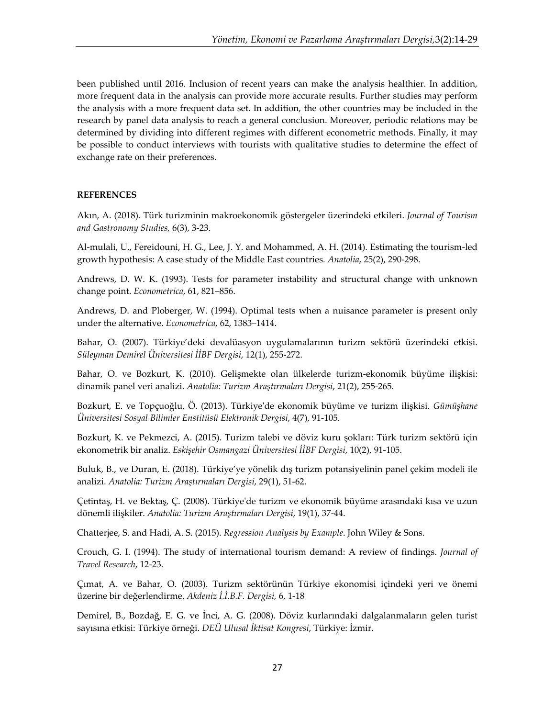been published until 2016. Inclusion of recent years can make the analysis healthier. In addition, more frequent data in the analysis can provide more accurate results. Further studies may perform the analysis with a more frequent data set. In addition, the other countries may be included in the research by panel data analysis to reach a general conclusion. Moreover, periodic relations may be determined by dividing into different regimes with different econometric methods. Finally, it may be possible to conduct interviews with tourists with qualitative studies to determine the effect of exchange rate on their preferences.

### **REFERENCES**

Akın, A. (2018). Türk turizminin makroekonomik göstergeler üzerindeki etkileri. *Journal of Tourism and Gastronomy Studies,* 6(3), 3-23.

Al-mulali, U., Fereidouni, H. G., Lee, J. Y. and Mohammed, A. H. (2014). Estimating the tourism-led growth hypothesis: A case study of the Middle East countries*. Anatolia*, 25(2), 290-298.

Andrews, D. W. K. (1993). Tests for parameter instability and structural change with unknown change point. *Econometrica*, 61, 821–856.

Andrews, D. and Ploberger, W. (1994). Optimal tests when a nuisance parameter is present only under the alternative. *Econometrica*, 62, 1383–1414.

Bahar, O. (2007). Türkiye'deki devalüasyon uygulamalarının turizm sektörü üzerindeki etkisi. *Süleyman Demirel Üniversitesi İİBF Dergisi*, 12(1), 255-272.

Bahar, O. ve Bozkurt, K. (2010). Gelişmekte olan ülkelerde turizm-ekonomik büyüme ilişkisi: dinamik panel veri analizi. *Anatolia: Turizm Araştırmaları Dergisi*, 21(2), 255-265.

Bozkurt, E. ve Topçuoğlu, Ö. (2013). Türkiye'de ekonomik büyüme ve turizm ilişkisi. *Gümüşhane Üniversitesi Sosyal Bilimler Enstitüsü Elektronik Dergisi*, 4(7), 91-105.

Bozkurt, K. ve Pekmezci, A. (2015). Turizm talebi ve döviz kuru şokları: Türk turizm sektörü için ekonometrik bir analiz. *Eskişehir Osmangazi Üniversitesi İİBF Dergisi*, 10(2), 91-105.

Buluk, B., ve Duran, E. (2018). Türkiye'ye yönelik dış turizm potansiyelinin panel çekim modeli ile analizi. *Anatolia: Turizm Araştırmaları Dergisi*, 29(1), 51-62.

Çetintaş, H. ve Bektaş, Ç. (2008). Türkiye'de turizm ve ekonomik büyüme arasındaki kısa ve uzun dönemli ilişkiler. *Anatolia: Turizm Araştırmaları Dergisi*, 19(1), 37-44.

Chatterjee, S. and Hadi, A. S. (2015). *Regression Analysis by Example*. John Wiley & Sons.

Crouch, G. I. (1994). The study of international tourism demand: A review of findings. *Journal of Travel Research*, 12-23.

Çımat, A. ve Bahar, O. (2003). Turizm sektörünün Türkiye ekonomisi içindeki yeri ve önemi üzerine bir değerlendirme. *Akdeniz İ.İ.B.F. Dergisi,* 6, 1-18

Demirel, B., Bozdağ, E. G. ve İnci, A. G. (2008). Döviz kurlarındaki dalgalanmaların gelen turist sayısına etkisi: Türkiye örneği. *DEÜ Ulusal İktisat Kongresi*, Türkiye: İzmir.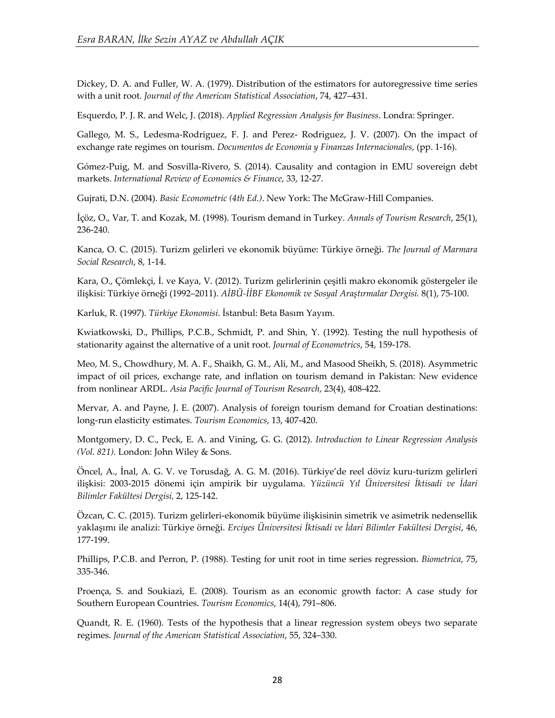Dickey, D. A. and Fuller, W. A. (1979). Distribution of the estimators for autoregressive time series with a unit root. *Journal of the American Statistical Association*, 74, 427–431.

Esquerdo, P. J. R. and Welc, J. (2018). *Applied Regression Analysis for Business*. Londra: Springer.

Gallego, M. S., Ledesma-Rodriguez, F. J. and Perez- Rodriguez, J. V. (2007). On the impact of exchange rate regimes on tourism. *Documentos de Economia y Finanzas Internacionales*, (pp. 1-16).

Gómez-Puig, M. and Sosvilla-Rivero, S. (2014). Causality and contagion in EMU sovereign debt markets. *International Review of Economics & Finance*, 33, 12-27.

Gujrati, D.N. (2004). *Basic Econometric (4th Ed.)*. New York: The McGraw-Hill Companies.

İçöz, O., Var, T. and Kozak, M. (1998). Tourism demand in Turkey. *Annals of Tourism Research*, 25(1), 236-240.

Kanca, O. C. (2015). Turizm gelirleri ve ekonomik büyüme: Türkiye örneği. *The Journal of Marmara Social Research*, 8, 1-14.

Kara, O., Çömlekçi, İ. ve Kaya, V. (2012). Turizm gelirlerinin çeşitli makro ekonomik göstergeler ile ilişkisi: Türkiye örneği (1992–2011). *AİBÜ-İİBF Ekonomik ve Sosyal Araştırmalar Dergisi.* 8(1), 75-100.

Karluk, R. (1997). *Türkiye Ekonomisi*. İstanbul: Beta Basım Yayım.

Kwiatkowski, D., Phillips, P.C.B., Schmidt, P. and Shin, Y. (1992). Testing the null hypothesis of stationarity against the alternative of a unit root. *Journal of Econometrics*, 54, 159-178.

Meo, M. S., Chowdhury, M. A. F., Shaikh, G. M., Ali, M., and Masood Sheikh, S. (2018). Asymmetric impact of oil prices, exchange rate, and inflation on tourism demand in Pakistan: New evidence from nonlinear ARDL. *Asia Pacific Journal of Tourism Research*, 23(4), 408-422.

Mervar, A. and Payne, J. E. (2007). Analysis of foreign tourism demand for Croatian destinations: long-run elasticity estimates. *Tourism Economics*, 13, 407-420.

Montgomery, D. C., Peck, E. A. and Vining, G. G. (2012). *Introduction to Linear Regression Analysis (Vol. 821).* London: John Wiley & Sons.

Öncel, A., İnal, A. G. V. ve Torusdağ, A. G. M. (2016). Türkiye'de reel döviz kuru-turizm gelirleri ilişkisi: 2003-2015 dönemi için ampirik bir uygulama. *Yüzüncü Yıl Üniversitesi İktisadi ve İdari Bilimler Fakültesi Dergisi,* 2, 125-142.

Özcan, C. C. (2015). Turizm gelirleri-ekonomik büyüme ilişkisinin simetrik ve asimetrik nedensellik yaklaşımı ile analizi: Türkiye örneği. *Erciyes Üniversitesi İktisadi ve İdari Bilimler Fakültesi Dergisi*, 46, 177-199.

Phillips, P.C.B. and Perron, P. (1988). Testing for unit root in time series regression. *Biometrica*, 75, 335-346.

Proença, S. and Soukiazi, E. (2008). Tourism as an economic growth factor: A case study for Southern European Countries. *Tourism Economics*, 14(4), 791–806.

Quandt, R. E. (1960). Tests of the hypothesis that a linear regression system obeys two separate regimes. *Journal of the American Statistical Association*, 55, 324–330.